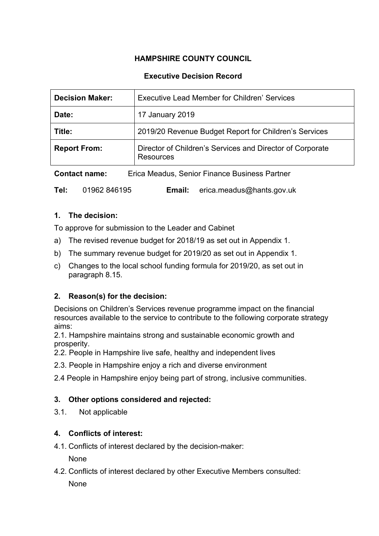# **HAMPSHIRE COUNTY COUNCIL**

## **Executive Decision Record**

| <b>Decision Maker:</b> | Executive Lead Member for Children' Services                                  |
|------------------------|-------------------------------------------------------------------------------|
| Date:                  | 17 January 2019                                                               |
| Title:                 | 2019/20 Revenue Budget Report for Children's Services                         |
| <b>Report From:</b>    | Director of Children's Services and Director of Corporate<br><b>Resources</b> |

**Contact name:** Erica Meadus, Senior Finance Business Partner

**Tel:** 01962 846195 **Email:** erica.meadus@hants.gov.uk

#### **1. The decision:**

To approve for submission to the Leader and Cabinet

- a) The revised revenue budget for 2018/19 as set out in Appendix 1.
- b) The summary revenue budget for 2019/20 as set out in Appendix 1.
- c) Changes to the local school funding formula for 2019/20, as set out in paragraph 8.15.

## **2. Reason(s) for the decision:**

Decisions on Children's Services revenue programme impact on the financial resources available to the service to contribute to the following corporate strategy aims:

2.1. Hampshire maintains strong and sustainable economic growth and prosperity.

- 2.2. People in Hampshire live safe, healthy and independent lives
- 2.3. People in Hampshire enjoy a rich and diverse environment
- 2.4 People in Hampshire enjoy being part of strong, inclusive communities.

## **3. Other options considered and rejected:**

3.1. Not applicable

## **4. Conflicts of interest:**

4.1. Conflicts of interest declared by the decision-maker:

**None** 

4.2. Conflicts of interest declared by other Executive Members consulted:

None